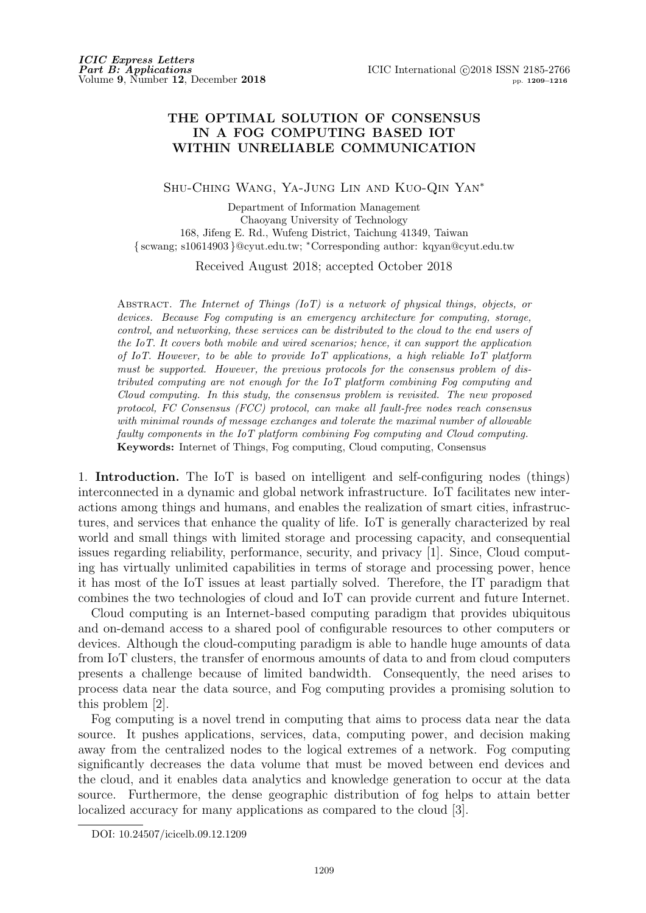## **THE OPTIMAL SOLUTION OF CONSENSUS IN A FOG COMPUTING BASED IOT WITHIN UNRELIABLE COMMUNICATION**

Shu-Ching Wang, Ya-Jung Lin and Kuo-Qin Yan*<sup>∗</sup>*

Department of Information Management Chaoyang University of Technology 168, Jifeng E. Rd., Wufeng District, Taichung 41349, Taiwan *{* scwang; s10614903 *}*@cyut.edu.tw; *<sup>∗</sup>*Corresponding author: kqyan@cyut.edu.tw

Received August 2018; accepted October 2018

Abstract. *The Internet of Things (IoT) is a network of physical things, objects, or devices. Because Fog computing is an emergency architecture for computing, storage, control, and networking, these services can be distributed to the cloud to the end users of the IoT. It covers both mobile and wired scenarios; hence, it can support the application of IoT. However, to be able to provide IoT applications, a high reliable IoT platform must be supported. However, the previous protocols for the consensus problem of distributed computing are not enough for the IoT platform combining Fog computing and Cloud computing. In this study, the consensus problem is revisited. The new proposed protocol, FC Consensus (FCC) protocol, can make all fault-free nodes reach consensus with minimal rounds of message exchanges and tolerate the maximal number of allowable faulty components in the IoT platform combining Fog computing and Cloud computing.* **Keywords:** Internet of Things, Fog computing, Cloud computing, Consensus

1. **Introduction.** The IoT is based on intelligent and self-configuring nodes (things) interconnected in a dynamic and global network infrastructure. IoT facilitates new interactions among things and humans, and enables the realization of smart cities, infrastructures, and services that enhance the quality of life. IoT is generally characterized by real world and small things with limited storage and processing capacity, and consequential issues regarding reliability, performance, security, and privacy [1]. Since, Cloud computing has virtually unlimited capabilities in terms of storage and processing power, hence it has most of the IoT issues at least partially solved. Therefore, the IT paradigm that combines the two technologies of cloud and IoT can provide current and future Internet.

Cloud computing is an Internet-based computing paradigm that provides ubiquitous and on-demand access to a shared pool of configurable resources to other computers or devices. Although the cloud-computing paradigm is able to handle huge amounts of data from IoT clusters, the transfer of enormous amounts of data to and from cloud computers presents a challenge because of limited bandwidth. Consequently, the need arises to process data near the data source, and Fog computing provides a promising solution to this problem [2].

Fog computing is a novel trend in computing that aims to process data near the data source. It pushes applications, services, data, computing power, and decision making away from the centralized nodes to the logical extremes of a network. Fog computing significantly decreases the data volume that must be moved between end devices and the cloud, and it enables data analytics and knowledge generation to occur at the data source. Furthermore, the dense geographic distribution of fog helps to attain better localized accuracy for many applications as compared to the cloud [3].

DOI: 10.24507/icicelb.09.12.1209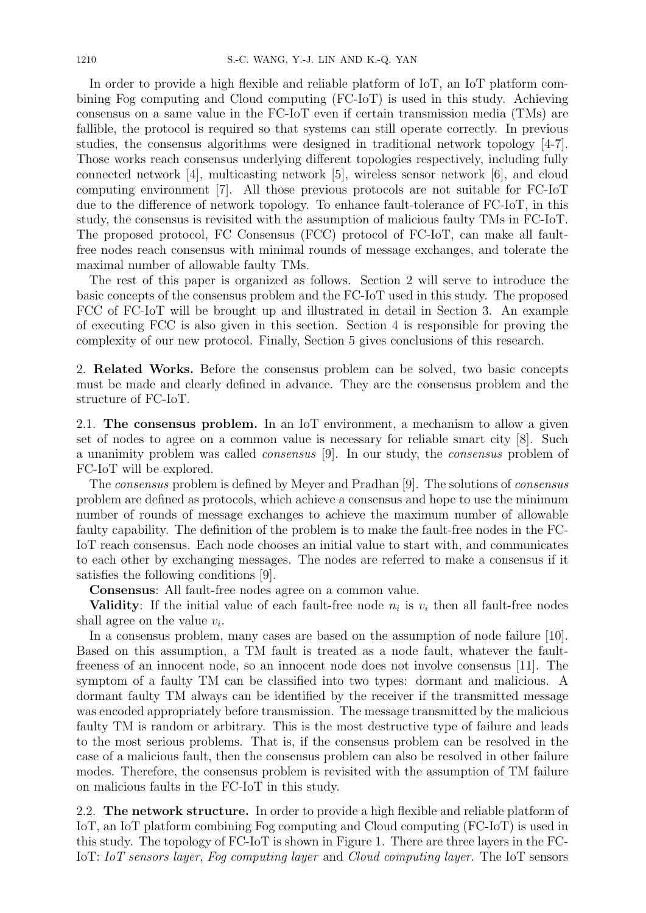In order to provide a high flexible and reliable platform of IoT, an IoT platform combining Fog computing and Cloud computing (FC-IoT) is used in this study. Achieving consensus on a same value in the FC-IoT even if certain transmission media (TMs) are fallible, the protocol is required so that systems can still operate correctly. In previous studies, the consensus algorithms were designed in traditional network topology [4-7]. Those works reach consensus underlying different topologies respectively, including fully connected network [4], multicasting network [5], wireless sensor network [6], and cloud computing environment [7]. All those previous protocols are not suitable for FC-IoT due to the difference of network topology. To enhance fault-tolerance of FC-IoT, in this study, the consensus is revisited with the assumption of malicious faulty TMs in FC-IoT. The proposed protocol, FC Consensus (FCC) protocol of FC-IoT, can make all faultfree nodes reach consensus with minimal rounds of message exchanges, and tolerate the maximal number of allowable faulty TMs.

The rest of this paper is organized as follows. Section 2 will serve to introduce the basic concepts of the consensus problem and the FC-IoT used in this study. The proposed FCC of FC-IoT will be brought up and illustrated in detail in Section 3. An example of executing FCC is also given in this section. Section 4 is responsible for proving the complexity of our new protocol. Finally, Section 5 gives conclusions of this research.

2. **Related Works.** Before the consensus problem can be solved, two basic concepts must be made and clearly defined in advance. They are the consensus problem and the structure of FC-IoT.

2.1. **The consensus problem.** In an IoT environment, a mechanism to allow a given set of nodes to agree on a common value is necessary for reliable smart city [8]. Such a unanimity problem was called *consensus* [9]. In our study, the *consensus* problem of FC-IoT will be explored.

The *consensus* problem is defined by Meyer and Pradhan [9]. The solutions of *consensus* problem are defined as protocols, which achieve a consensus and hope to use the minimum number of rounds of message exchanges to achieve the maximum number of allowable faulty capability. The definition of the problem is to make the fault-free nodes in the FC-IoT reach consensus. Each node chooses an initial value to start with, and communicates to each other by exchanging messages. The nodes are referred to make a consensus if it satisfies the following conditions [9].

**Consensus**: All fault-free nodes agree on a common value.

**Validity**: If the initial value of each fault-free node  $n_i$  is  $v_i$  then all fault-free nodes shall agree on the value *v<sup>i</sup>* .

In a consensus problem, many cases are based on the assumption of node failure [10]. Based on this assumption, a TM fault is treated as a node fault, whatever the faultfreeness of an innocent node, so an innocent node does not involve consensus [11]. The symptom of a faulty TM can be classified into two types: dormant and malicious. A dormant faulty TM always can be identified by the receiver if the transmitted message was encoded appropriately before transmission. The message transmitted by the malicious faulty TM is random or arbitrary. This is the most destructive type of failure and leads to the most serious problems. That is, if the consensus problem can be resolved in the case of a malicious fault, then the consensus problem can also be resolved in other failure modes. Therefore, the consensus problem is revisited with the assumption of TM failure on malicious faults in the FC-IoT in this study.

2.2. **The network structure.** In order to provide a high flexible and reliable platform of IoT, an IoT platform combining Fog computing and Cloud computing (FC-IoT) is used in this study. The topology of FC-IoT is shown in Figure 1. There are three layers in the FC-IoT: *IoT sensors layer*, *Fog computing layer* and *Cloud computing layer*. The IoT sensors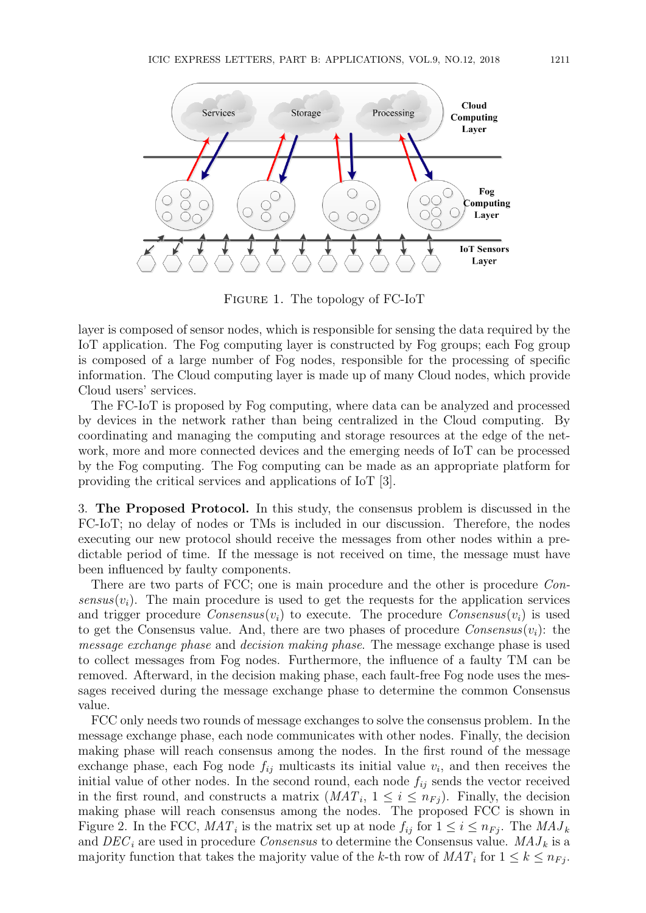

Figure 1. The topology of FC-IoT

layer is composed of sensor nodes, which is responsible for sensing the data required by the IoT application. The Fog computing layer is constructed by Fog groups; each Fog group is composed of a large number of Fog nodes, responsible for the processing of specific information. The Cloud computing layer is made up of many Cloud nodes, which provide Cloud users' services.

The FC-IoT is proposed by Fog computing, where data can be analyzed and processed by devices in the network rather than being centralized in the Cloud computing. By coordinating and managing the computing and storage resources at the edge of the network, more and more connected devices and the emerging needs of IoT can be processed by the Fog computing. The Fog computing can be made as an appropriate platform for providing the critical services and applications of IoT [3].

3. **The Proposed Protocol.** In this study, the consensus problem is discussed in the FC-IoT; no delay of nodes or TMs is included in our discussion. Therefore, the nodes executing our new protocol should receive the messages from other nodes within a predictable period of time. If the message is not received on time, the message must have been influenced by faulty components.

There are two parts of FCC; one is main procedure and the other is procedure *Consensus*( $v_i$ ). The main procedure is used to get the requests for the application services and trigger procedure *Consensus* $(v_i)$  to execute. The procedure *Consensus* $(v_i)$  is used to get the Consensus value. And, there are two phases of procedure  $Consensus(v_i)$ : the *message exchange phase* and *decision making phase*. The message exchange phase is used to collect messages from Fog nodes. Furthermore, the influence of a faulty TM can be removed. Afterward, in the decision making phase, each fault-free Fog node uses the messages received during the message exchange phase to determine the common Consensus value.

FCC only needs two rounds of message exchanges to solve the consensus problem. In the message exchange phase, each node communicates with other nodes. Finally, the decision making phase will reach consensus among the nodes. In the first round of the message exchange phase, each Fog node  $f_{ij}$  multicasts its initial value  $v_i$ , and then receives the initial value of other nodes. In the second round, each node *fij* sends the vector received in the first round, and constructs a matrix  $(MAT_i, 1 \leq i \leq n_{Fj})$ . Finally, the decision making phase will reach consensus among the nodes. The proposed FCC is shown in Figure 2. In the FCC,  $MAT_i$  is the matrix set up at node  $f_{ij}$  for  $1 \leq i \leq n_{Fj}$ . The  $MAJ_k$ and  $DEC_i$  are used in procedure *Consensus* to determine the Consensus value.  $MAJ_k$  is a majority function that takes the majority value of the *k*-th row of  $MAT_i$  for  $1 \leq k \leq n_{Fj}$ .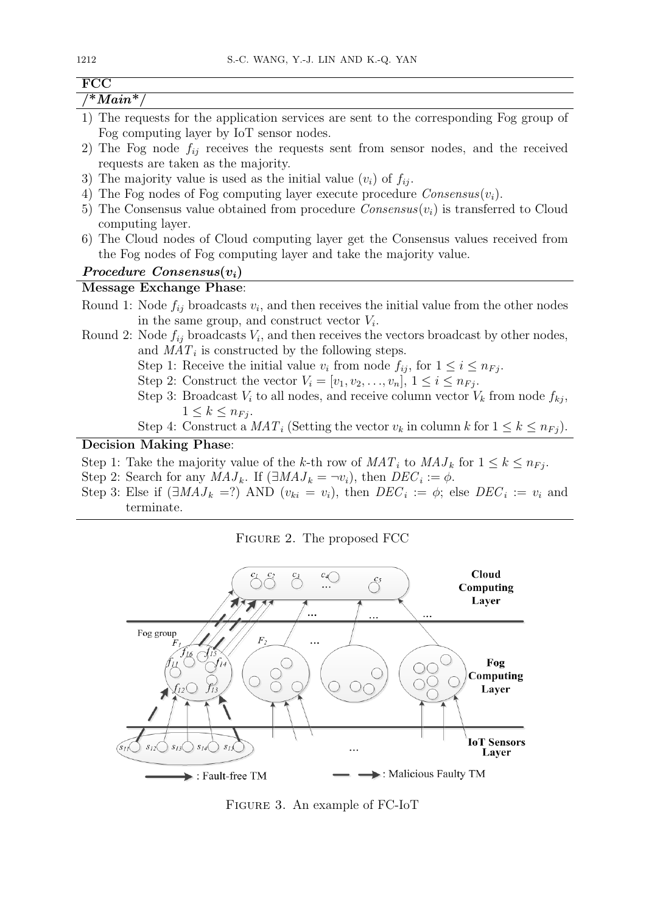| $\overline{\text{FCC}}$                                                                                                                                 |
|---------------------------------------------------------------------------------------------------------------------------------------------------------|
| $\lambda^* Main^*/$                                                                                                                                     |
| 1) The requests for the application services are sent to the corresponding Fog group of<br>Fog computing layer by IoT sensor nodes.                     |
| 2) The Fog node $f_{ij}$ receives the requests sent from sensor nodes, and the received<br>requests are taken as the majority.                          |
| 3) The majority value is used as the initial value $(v_i)$ of $f_{ij}$ .                                                                                |
| 4) The Fog nodes of Fog computing layer execute procedure $Consensus(v_i)$ .                                                                            |
| 5) The Consensus value obtained from procedure $Consensus(v_i)$ is transferred to Cloud<br>computing layer.                                             |
| 6) The Cloud nodes of Cloud computing layer get the Consensus values received from<br>the Fog nodes of Fog computing layer and take the majority value. |
| Procedure $Consensus(v_i)$                                                                                                                              |
| Message Exchange Phase:                                                                                                                                 |
| Round 1: Node $f_{ij}$ broadcasts $v_i$ , and then receives the initial value from the other nodes<br>in the same group, and construct vector $V_i$ .   |
| Round 2: Node $f_{ij}$ broadcasts $V_i$ , and then receives the vectors broadcast by other nodes,<br>and $MAT_i$ is constructed by the following steps. |
| Step 1: Receive the initial value $v_i$ from node $f_{ij}$ , for $1 \leq i \leq n_{Fj}$ .                                                               |
| Step 2: Construct the vector $V_i = [v_1, v_2, \ldots, v_n], 1 \leq i \leq n_{Fj}$ .                                                                    |
| Step 3: Broadcast $V_i$ to all nodes, and receive column vector $V_k$ from node $f_{kj}$ ,<br>$1 \leq k \leq n_{Fi}.$                                   |
| Step 4: Construct a $MAT_i$ (Setting the vector $v_k$ in column k for $1 \leq k \leq n_{Fj}$ ).                                                         |
| <b>Decision Making Phase:</b>                                                                                                                           |
| Step 1: Take the majority value of the k-th row of $MAT_i$ to $MAJ_k$ for $1 \leq k \leq n_{Fi}$ .                                                      |
| Step 2: Search for any $MAJ_k$ . If $(\exists MAJ_k = \neg v_i)$ , then $DEC_i := \phi$ .                                                               |
| Step 3: Else if $(\exists MAJ_k =?)$ AND $(v_{ki} = v_i)$ , then $DEC_i := \phi$ ; else $DEC_i := v_i$ and                                              |
| terminate.                                                                                                                                              |
| FIGURE 2. The proposed FCC                                                                                                                              |



Figure 3. An example of FC-IoT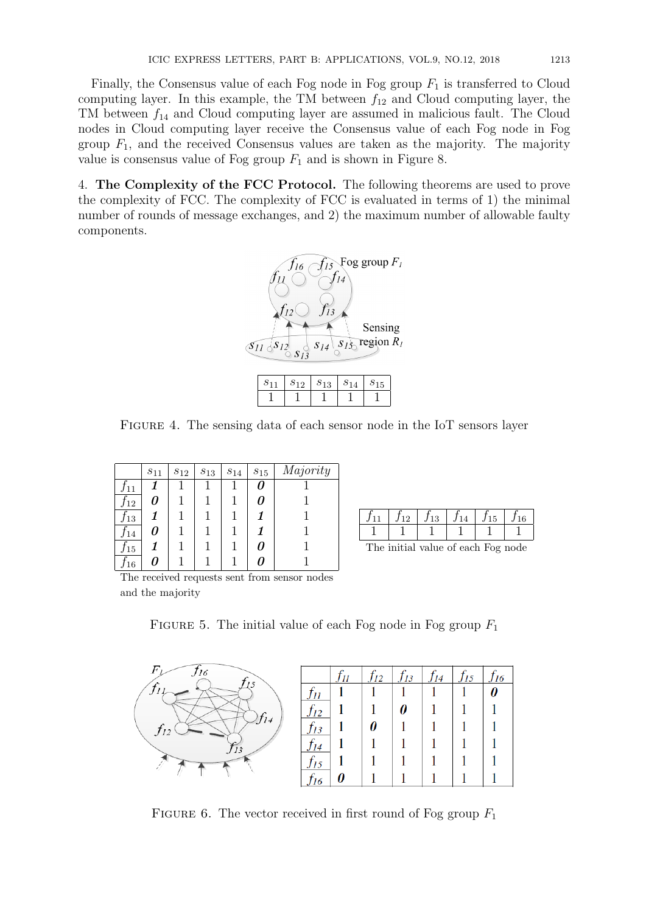Finally, the Consensus value of each Fog node in Fog group  $F_1$  is transferred to Cloud computing layer. In this example, the TM between  $f_{12}$  and Cloud computing layer, the TM between *f*<sup>14</sup> and Cloud computing layer are assumed in malicious fault. The Cloud nodes in Cloud computing layer receive the Consensus value of each Fog node in Fog group  $F_1$ , and the received Consensus values are taken as the majority. The majority value is consensus value of Fog group  $F_1$  and is shown in Figure 8.

4. **The Complexity of the FCC Protocol.** The following theorems are used to prove the complexity of FCC. The complexity of FCC is evaluated in terms of 1) the minimal number of rounds of message exchanges, and 2) the maximum number of allowable faulty components.



Figure 4. The sensing data of each sensor node in the IoT sensors layer

|                 | $s_{11}$ | $s_{12}$ | $s_{13}$ | $s_{14}$ | $s_{15}$ | Majority |
|-----------------|----------|----------|----------|----------|----------|----------|
| J <sub>11</sub> |          |          |          |          | N        |          |
| 12              | 0        |          |          |          | 7        |          |
| J <sub>13</sub> |          |          |          |          |          |          |
| 14              | 0        |          |          |          |          |          |
| $J_{15}$        |          |          |          |          | 7        |          |
| 16              | 7        |          |          |          |          |          |

| $f_{11}$ | $f_{12}$   $f_{13}$ | $f_{14}$ | $f_{15}$ | $J_{16}$ |
|----------|---------------------|----------|----------|----------|
|          |                     |          |          |          |

The initial value of each Fog node

The received requests sent from sensor nodes and the majority

FIGURE 5. The initial value of each Fog node in Fog group  $F_1$ 

| $\mathbf{r}$<br>J16 |  | 12 | 14 | ς<br>IJ |  |
|---------------------|--|----|----|---------|--|
|                     |  |    |    |         |  |
|                     |  |    |    |         |  |
| /J14                |  |    |    |         |  |
| $\overline{J}$      |  |    |    |         |  |
|                     |  |    |    |         |  |
|                     |  |    |    |         |  |

FIGURE 6. The vector received in first round of Fog group  $F_1$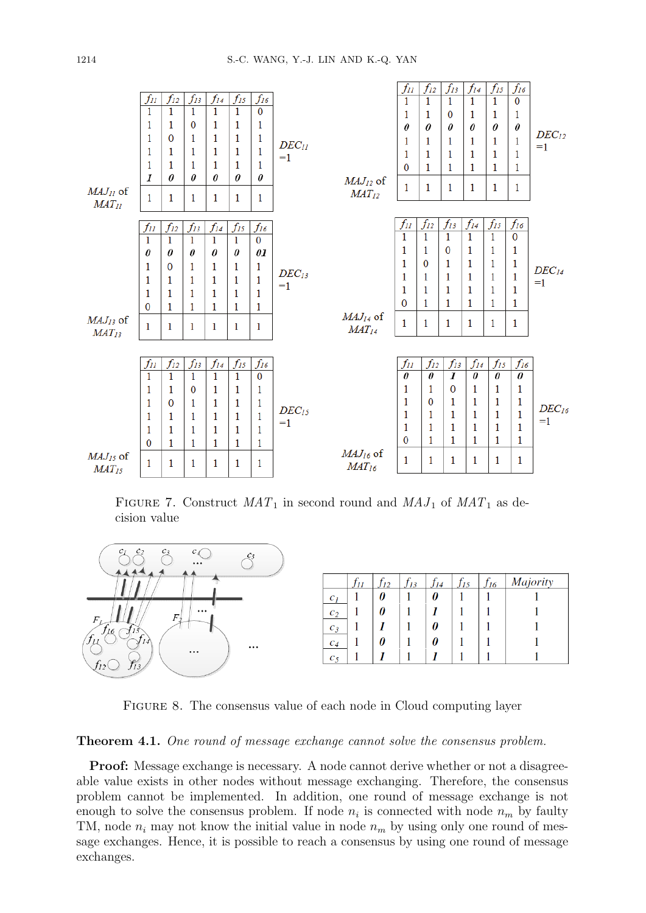

FIGURE 7. Construct  $MAT_1$  in second round and  $MAJ_1$  of  $MAT_1$  as decision value



Figure 8. The consensus value of each node in Cloud computing layer

## **Theorem 4.1.** *One round of message exchange cannot solve the consensus problem.*

**Proof:** Message exchange is necessary. A node cannot derive whether or not a disagreeable value exists in other nodes without message exchanging. Therefore, the consensus problem cannot be implemented. In addition, one round of message exchange is not enough to solve the consensus problem. If node  $n_i$  is connected with node  $n_m$  by faulty TM, node  $n_i$  may not know the initial value in node  $n_m$  by using only one round of message exchanges. Hence, it is possible to reach a consensus by using one round of message exchanges.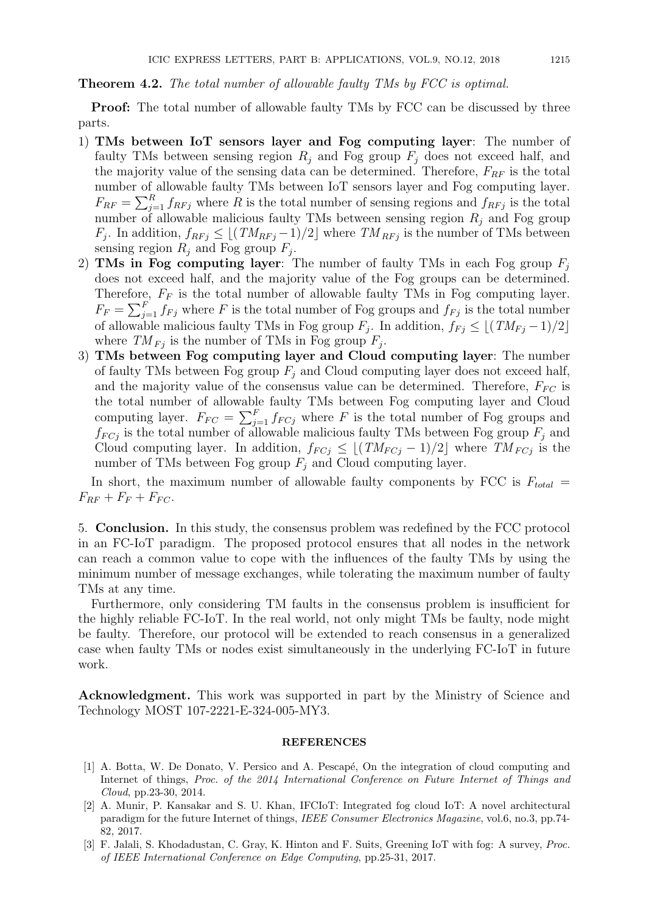## **Theorem 4.2.** *The total number of allowable faulty TMs by FCC is optimal.*

**Proof:** The total number of allowable faulty TMs by FCC can be discussed by three parts.

- 1) **TMs between IoT sensors layer and Fog computing layer**: The number of faulty TMs between sensing region  $R_i$  and Fog group  $F_j$  does not exceed half, and the majority value of the sensing data can be determined. Therefore,  $F_{RF}$  is the total number of allowable faulty TMs between IoT sensors layer and Fog computing layer.  $F_{RF} = \sum_{j=1}^{R} f_{RFj}$  where *R* is the total number of sensing regions and  $f_{RFj}$  is the total number of allowable malicious faulty TMs between sensing region  $R_i$  and Fog group *F*<sub>*j*</sub>. In addition,  $f_{RFj} \leq \lfloor (TM_{RFj}-1)/2 \rfloor$  where  $TM_{RFj}$  is the number of TMs between sensing region  $R_j$  and Fog group  $F_j$ .
- 2) **TMs in Fog computing layer**: The number of faulty TMs in each Fog group *F<sup>j</sup>* does not exceed half, and the majority value of the Fog groups can be determined. Therefore,  $F_F$  is the total number of allowable faulty TMs in Fog computing layer.  $F_F = \sum_{j=1}^F f_{Fj}$  where *F* is the total number of Fog groups and  $f_{Fj}$  is the total number of allowable malicious faulty TMs in Fog group  $F_j$ . In addition,  $f_{Fj} \leq \lfloor (TM_{Fj}-1)/2 \rfloor$ where  $TM_{Fj}$  is the number of TMs in Fog group  $F_j$ .
- 3) **TMs between Fog computing layer and Cloud computing layer**: The number of faulty TMs between Fog group *F<sup>j</sup>* and Cloud computing layer does not exceed half, and the majority value of the consensus value can be determined. Therefore,  $F_{FC}$  is the total number of allowable faulty TMs between Fog computing layer and Cloud computing layer.  $F_{FC} = \sum_{j=1}^{F} f_{FCj}$  where *F* is the total number of Fog groups and  $f_{FCj}$  is the total number of allowable malicious faulty TMs between Fog group  $F_j$  and Cloud computing layer. In addition,  $f_{FCj} \leq \lfloor (TM_{FCj} - 1)/2 \rfloor$  where  $TM_{FCj}$  is the number of TMs between Fog group  $F_j$  and Cloud computing layer.

In short, the maximum number of allowable faulty components by FCC is  $F_{total}$  =  $F_{RF} + F_{F} + F_{FC}.$ 

5. **Conclusion.** In this study, the consensus problem was redefined by the FCC protocol in an FC-IoT paradigm. The proposed protocol ensures that all nodes in the network can reach a common value to cope with the influences of the faulty TMs by using the minimum number of message exchanges, while tolerating the maximum number of faulty TMs at any time.

Furthermore, only considering TM faults in the consensus problem is insufficient for the highly reliable FC-IoT. In the real world, not only might TMs be faulty, node might be faulty. Therefore, our protocol will be extended to reach consensus in a generalized case when faulty TMs or nodes exist simultaneously in the underlying FC-IoT in future work.

**Acknowledgment.** This work was supported in part by the Ministry of Science and Technology MOST 107-2221-E-324-005-MY3.

## **REFERENCES**

- [1] A. Botta, W. De Donato, V. Persico and A. Pescapé, On the integration of cloud computing and Internet of things, *Proc. of the 2014 International Conference on Future Internet of Things and Cloud*, pp.23-30, 2014.
- [2] A. Munir, P. Kansakar and S. U. Khan, IFCIoT: Integrated fog cloud IoT: A novel architectural paradigm for the future Internet of things, *IEEE Consumer Electronics Magazine*, vol.6, no.3, pp.74- 82, 2017.
- [3] F. Jalali, S. Khodadustan, C. Gray, K. Hinton and F. Suits, Greening IoT with fog: A survey, *Proc. of IEEE International Conference on Edge Computing*, pp.25-31, 2017.